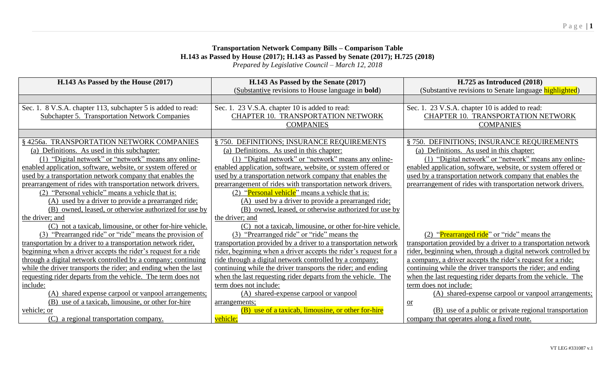## **Transportation Network Company Bills – Comparison Table H.143 as Passed by House (2017); H.143 as Passed by Senate (2017); H.725 (2018)** *Prepared by Legislative Council – March 12, 2018*

| H.143 As Passed by the House (2017)                             | H.143 As Passed by the Senate (2017)                             | H.725 as Introduced (2018)                                      |
|-----------------------------------------------------------------|------------------------------------------------------------------|-----------------------------------------------------------------|
|                                                                 | (Substantive revisions to House language in <b>bold</b> )        | (Substantive revisions to Senate language highlighted)          |
|                                                                 |                                                                  |                                                                 |
| Sec. 1. 8 V.S.A. chapter 113, subchapter 5 is added to read:    | Sec. 1. 23 V.S.A. chapter 10 is added to read:                   | Sec. 1. 23 V.S.A. chapter 10 is added to read:                  |
| <b>Subchapter 5. Transportation Network Companies</b>           | <b>CHAPTER 10. TRANSPORTATION NETWORK</b>                        | CHAPTER 10. TRANSPORTATION NETWORK                              |
|                                                                 | <b>COMPANIES</b>                                                 | <b>COMPANIES</b>                                                |
|                                                                 |                                                                  |                                                                 |
| 4256a. TRANSPORTATION NETWORK COMPANIES                         | DEFINITIONS; INSURANCE REQUIREMENTS<br>\$750.                    | § 750. DEFINITIONS; INSURANCE REQUIREMENTS                      |
| (a) Definitions. As used in this subchapter:                    | (a) Definitions. As used in this chapter:                        | (a) Definitions. As used in this chapter:                       |
| (1) "Digital network" or "network" means any online-            | (1) "Digital network" or "network" means any online-             | (1) "Digital network" or "network" means any online-            |
| enabled application, software, website, or system offered or    | enabled application, software, website, or system offered or     | enabled application, software, website, or system offered or    |
| used by a transportation network company that enables the       | used by a transportation network company that enables the        | used by a transportation network company that enables the       |
| prearrangement of rides with transportation network drivers.    | prearrangement of rides with transportation network drivers.     | prearrangement of rides with transportation network drivers.    |
| (2) "Personal vehicle" means a vehicle that is:                 | (2) "Personal vehicle" means a vehicle that is:                  |                                                                 |
| (A) used by a driver to provide a prearranged ride;             | (A) used by a driver to provide a prearranged ride;              |                                                                 |
| (B) owned, leased, or otherwise authorized for use by           | (B) owned, leased, or otherwise authorized for use by            |                                                                 |
| the driver; and                                                 | the driver; and                                                  |                                                                 |
| (C) not a taxicab, limousine, or other for-hire vehicle.        | (C) not a taxicab, limousine, or other for-hire vehicle.         |                                                                 |
| (3) "Prearranged ride" or "ride" means the provision of         | (3) "Prearranged ride" or "ride" means the                       | (2) "Prearranged ride" or "ride" means the                      |
| transportation by a driver to a transportation network rider,   | transportation provided by a driver to a transportation network  | transportation provided by a driver to a transportation network |
| beginning when a driver accepts the rider's request for a ride  | rider, beginning when a driver accepts the rider's request for a | rider, beginning when, through a digital network controlled by  |
| through a digital network controlled by a company; continuing   | ride through a digital network controlled by a company;          | a company, a driver accepts the rider's request for a ride;     |
| while the driver transports the rider; and ending when the last | continuing while the driver transports the rider; and ending     | continuing while the driver transports the rider; and ending    |
| requesting rider departs from the vehicle. The term does not    | when the last requesting rider departs from the vehicle. The     | when the last requesting rider departs from the vehicle. The    |
| include:                                                        | term does not include:                                           | term does not include:                                          |
| (A) shared expense carpool or vanpool arrangements;             | (A) shared-expense carpool or vanpool                            | (A) shared-expense carpool or vanpool arrangements;             |
| (B) use of a taxicab, limousine, or other for-hire              | arrangements;                                                    | $or$                                                            |
| vehicle; or                                                     | (B) use of a taxicab, limousine, or other for-hire               | (B) use of a public or private regional transportation          |
| a regional transportation company.<br>(C)                       | vehicle;                                                         | company that operates along a fixed route.                      |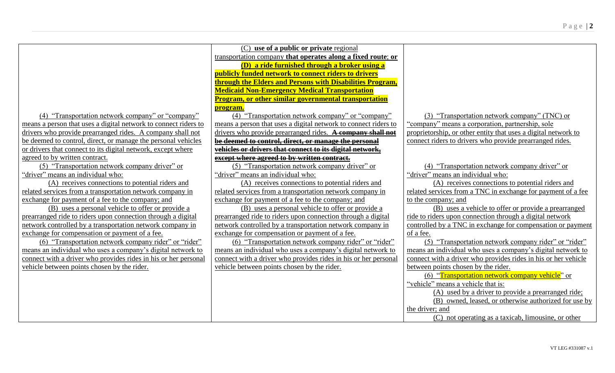|                                                                 | (C) use of a public or private regional                         |                                                                |
|-----------------------------------------------------------------|-----------------------------------------------------------------|----------------------------------------------------------------|
|                                                                 | transportation company that operates along a fixed route; or    |                                                                |
|                                                                 | (D) a ride furnished through a broker using a                   |                                                                |
|                                                                 | publicly funded network to connect riders to drivers            |                                                                |
|                                                                 | through the Elders and Persons with Disabilities Program,       |                                                                |
|                                                                 | <b>Medicaid Non-Emergency Medical Transportation</b>            |                                                                |
|                                                                 | <b>Program, or other similar governmental transportation</b>    |                                                                |
|                                                                 | program.                                                        |                                                                |
| (4) "Transportation network company" or "company"               | (4) "Transportation network company" or "company"               | (3) "Transportation network company" (TNC) or                  |
| means a person that uses a digital network to connect riders to | means a person that uses a digital network to connect riders to | 'company'' means a corporation, partnership, sole              |
| drivers who provide prearranged rides. A company shall not      | drivers who provide prearranged rides. A company shall not      | proprietorship, or other entity that uses a digital network to |
| be deemed to control, direct, or manage the personal vehicles   | be deemed to control, direct, or manage the personal            | connect riders to drivers who provide prearranged rides.       |
| or drivers that connect to its digital network, except where    | vehicles or drivers that connect to its digital network,        |                                                                |
| agreed to by written contract.                                  | except where agreed to by written contract.                     |                                                                |
| (5) "Transportation network company driver" or                  | (5) "Transportation network company driver" or                  | (4) "Transportation network company driver" or                 |
| "driver" means an individual who:                               | "driver" means an individual who:                               | "driver" means an individual who:                              |
| (A) receives connections to potential riders and                | (A) receives connections to potential riders and                | (A) receives connections to potential riders and               |
| related services from a transportation network company in       | related services from a transportation network company in       | related services from a TNC in exchange for payment of a fee   |
| exchange for payment of a fee to the company; and               | exchange for payment of a fee to the company; and               | to the company; and                                            |
| (B) uses a personal vehicle to offer or provide a               | (B) uses a personal vehicle to offer or provide a               | (B) uses a vehicle to offer or provide a prearranged           |
| prearranged ride to riders upon connection through a digital    | prearranged ride to riders upon connection through a digital    | ride to riders upon connection through a digital network       |
| network controlled by a transportation network company in       | network controlled by a transportation network company in       | controlled by a TNC in exchange for compensation or payment    |
| exchange for compensation or payment of a fee.                  | exchange for compensation or payment of a fee.                  | of a fee.                                                      |
| (6) "Transportation network company rider" or "rider"           | (6) "Transportation network company rider" or "rider"           | (5) "Transportation network company rider" or "rider"          |
| means an individual who uses a company's digital network to     | means an individual who uses a company's digital network to     | means an individual who uses a company's digital network to    |
| connect with a driver who provides rides in his or her personal | connect with a driver who provides rides in his or her personal | connect with a driver who provides rides in his or her vehicle |
| vehicle between points chosen by the rider.                     | vehicle between points chosen by the rider.                     | between points chosen by the rider.                            |
|                                                                 |                                                                 | (6) "Transportation network company vehicle" or                |
|                                                                 |                                                                 | "vehicle" means a vehicle that is:                             |
|                                                                 |                                                                 | (A) used by a driver to provide a prearranged ride;            |
|                                                                 |                                                                 | (B) owned, leased, or otherwise authorized for use by          |
|                                                                 |                                                                 | the driver; and                                                |
|                                                                 |                                                                 | (C) not operating as a taxicab, limousine, or other            |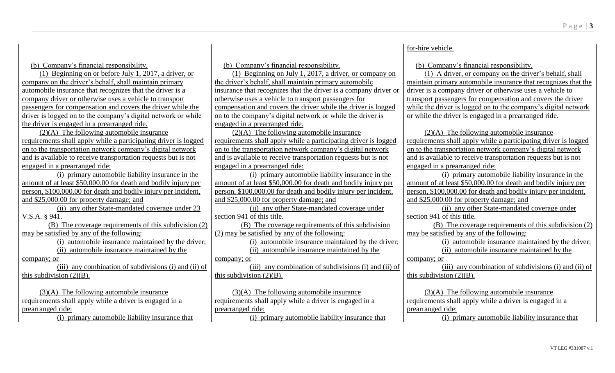|                                                                 |                                                                  | for-hire vehicle.                                               |
|-----------------------------------------------------------------|------------------------------------------------------------------|-----------------------------------------------------------------|
|                                                                 |                                                                  |                                                                 |
| (b) Company's financial responsibility.                         | (b) Company's financial responsibility.                          | (b) Company's financial responsibility.                         |
| (1) Beginning on or before July 1, 2017, a driver, or           | (1) Beginning on July 1, 2017, a driver, or company on           | (1) A driver, or company on the driver's behalf, shall          |
| company on the driver's behalf, shall maintain primary          | the driver's behalf, shall maintain primary automobile           | maintain primary automobile insurance that recognizes that the  |
| automobile insurance that recognizes that the driver is a       | insurance that recognizes that the driver is a company driver or | driver is a company driver or otherwise uses a vehicle to       |
| company driver or otherwise uses a vehicle to transport         | otherwise uses a vehicle to transport passengers for             | transport passengers for compensation and covers the driver     |
| passengers for compensation and covers the driver while the     | compensation and covers the driver while the driver is logged    | while the driver is logged on to the company's digital network  |
| driver is logged on to the company's digital network or while   | on to the company's digital network or while the driver is       | or while the driver is engaged in a prearranged ride.           |
| the driver is engaged in a prearranged ride.                    | engaged in a prearranged ride.                                   |                                                                 |
| $(2)(A)$ The following automobile insurance                     | $(2)(A)$ The following automobile insurance                      | $(2)(A)$ The following automobile insurance                     |
| requirements shall apply while a participating driver is logged | requirements shall apply while a participating driver is logged  | requirements shall apply while a participating driver is logged |
| on to the transportation network company's digital network      | on to the transportation network company's digital network       | on to the transportation network company's digital network      |
| and is available to receive transportation requests but is not  | and is available to receive transportation requests but is not   | and is available to receive transportation requests but is not  |
| engaged in a prearranged ride:                                  | engaged in a prearranged ride:                                   | engaged in a prearranged ride:                                  |
| (i) primary automobile liability insurance in the               | (i) primary automobile liability insurance in the                | (i) primary automobile liability insurance in the               |
| amount of at least \$50,000.00 for death and bodily injury per  | amount of at least \$50,000.00 for death and bodily injury per   | amount of at least \$50,000.00 for death and bodily injury per  |
| person, \$100,000.00 for death and bodily injury per incident,  | person, \$100,000.00 for death and bodily injury per incident,   | person, \$100,000.00 for death and bodily injury per incident,  |
| and \$25,000.00 for property damage; and                        | and \$25,000.00 for property damage; and                         | and \$25,000.00 for property damage; and                        |
| (ii) any other State-mandated coverage under 23                 | (ii) any other State-mandated coverage under                     | (ii) any other State-mandated coverage under                    |
| V.S.A. § 941.                                                   | section 941 of this title.                                       | section 941 of this title.                                      |
| (B) The coverage requirements of this subdivision (2)           | (B) The coverage requirements of this subdivision                | (B) The coverage requirements of this subdivision (2)           |
| may be satisfied by any of the following:                       | (2) may be satisfied by any of the following:                    | may be satisfied by any of the following:                       |
| (i) automobile insurance maintained by the driver;              | (i) automobile insurance maintained by the driver;               | (i) automobile insurance maintained by the driver;              |
| (ii) automobile insurance maintained by the                     | (ii) automobile insurance maintained by the                      | (ii) automobile insurance maintained by the                     |
| company; or                                                     | company; or                                                      | company; or                                                     |
| (iii) any combination of subdivisions (i) and (ii) of           | (iii) any combination of subdivisions (i) and (ii) of            | (iii) any combination of subdivisions (i) and (ii) of           |
| this subdivision $(2)(B)$ .                                     | this subdivision $(2)(B)$ .                                      | this subdivision $(2)(B)$ .                                     |
|                                                                 |                                                                  |                                                                 |
| $(3)(A)$ The following automobile insurance                     | $(3)(A)$ The following automobile insurance                      | $(3)(A)$ The following automobile insurance                     |
| requirements shall apply while a driver is engaged in a         | requirements shall apply while a driver is engaged in a          | requirements shall apply while a driver is engaged in a         |
| prearranged ride:                                               | prearranged ride:                                                | prearranged ride:                                               |
| (i) primary automobile liability insurance that                 | (i) primary automobile liability insurance that                  | (i) primary automobile liability insurance that                 |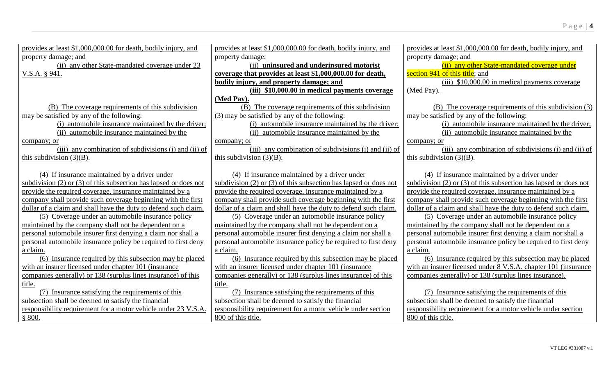| provides at least \$1,000,000.00 for death, bodily injury, and       | provides at least \$1,000,000.00 for death, bodily injury, and       | provides at least \$1,000,000.00 for death, bodily injury, and       |
|----------------------------------------------------------------------|----------------------------------------------------------------------|----------------------------------------------------------------------|
| property damage; and                                                 | property damage;                                                     | property damage; and                                                 |
| (ii) any other State-mandated coverage under 23                      | (ii) uninsured and underinsured motorist                             | (ii) any other State-mandated coverage under                         |
| $V.S.A.$ § 941.                                                      | coverage that provides at least \$1,000,000.00 for death,            | section 941 of this title; and                                       |
|                                                                      | bodily injury, and property damage; and                              | (iii) $$10,000.00$ in medical payments coverage                      |
|                                                                      | (iii) \$10,000.00 in medical payments coverage                       | (Med Pay).                                                           |
|                                                                      | (Med Pay).                                                           |                                                                      |
| (B) The coverage requirements of this subdivision                    | (B) The coverage requirements of this subdivision                    | (B) The coverage requirements of this subdivision (3)                |
| may be satisfied by any of the following:                            | (3) may be satisfied by any of the following:                        | may be satisfied by any of the following:                            |
| (i) automobile insurance maintained by the driver;                   | (i) automobile insurance maintained by the driver;                   | (i) automobile insurance maintained by the driver;                   |
| (ii) automobile insurance maintained by the                          | (ii) automobile insurance maintained by the                          | (ii) automobile insurance maintained by the                          |
| company; or                                                          | company; or                                                          | company; or                                                          |
| (iii) any combination of subdivisions (i) and (ii) of                | (iii) any combination of subdivisions (i) and (ii) of                | (iii) any combination of subdivisions (i) and (ii) of                |
| this subdivision $(3)(B)$ .                                          | this subdivision $(3)(B)$ .                                          | this subdivision $(3)(B)$ .                                          |
|                                                                      |                                                                      |                                                                      |
| (4) If insurance maintained by a driver under                        | (4) If insurance maintained by a driver under                        | (4) If insurance maintained by a driver under                        |
| subdivision $(2)$ or $(3)$ of this subsection has lapsed or does not | subdivision $(2)$ or $(3)$ of this subsection has lapsed or does not | subdivision $(2)$ or $(3)$ of this subsection has lapsed or does not |
| provide the required coverage, insurance maintained by a             | provide the required coverage, insurance maintained by a             | provide the required coverage, insurance maintained by a             |
| company shall provide such coverage beginning with the first         | company shall provide such coverage beginning with the first         | company shall provide such coverage beginning with the first         |
| dollar of a claim and shall have the duty to defend such claim.      | dollar of a claim and shall have the duty to defend such claim.      | dollar of a claim and shall have the duty to defend such claim.      |
| (5) Coverage under an automobile insurance policy                    | (5) Coverage under an automobile insurance policy                    | (5) Coverage under an automobile insurance policy                    |
| maintained by the company shall not be dependent on a                | maintained by the company shall not be dependent on a                | maintained by the company shall not be dependent on a                |
| personal automobile insurer first denying a claim nor shall a        | personal automobile insurer first denying a claim nor shall a        | personal automobile insurer first denying a claim nor shall a        |
| personal automobile insurance policy be required to first deny       | personal automobile insurance policy be required to first deny       | personal automobile insurance policy be required to first deny       |
| a claim.                                                             | a claim.                                                             | a claim.                                                             |
| (6) Insurance required by this subsection may be placed              | (6) Insurance required by this subsection may be placed              | (6) Insurance required by this subsection may be placed              |
| with an insurer licensed under chapter 101 (insurance                | with an insurer licensed under chapter 101 (insurance                | with an insurer licensed under 8 V.S.A. chapter 101 (insurance       |
| companies generally) or 138 (surplus lines insurance) of this        | companies generally) or 138 (surplus lines insurance) of this        | companies generally) or 138 (surplus lines insurance).               |
| title.                                                               | title.                                                               |                                                                      |
| (7) Insurance satisfying the requirements of this                    | (7) Insurance satisfying the requirements of this                    | (7) Insurance satisfying the requirements of this                    |
| subsection shall be deemed to satisfy the financial                  | subsection shall be deemed to satisfy the financial                  | subsection shall be deemed to satisfy the financial                  |
| responsibility requirement for a motor vehicle under 23 V.S.A.       | responsibility requirement for a motor vehicle under section         | responsibility requirement for a motor vehicle under section         |
| \$800.                                                               | 800 of this title.                                                   | 800 of this title.                                                   |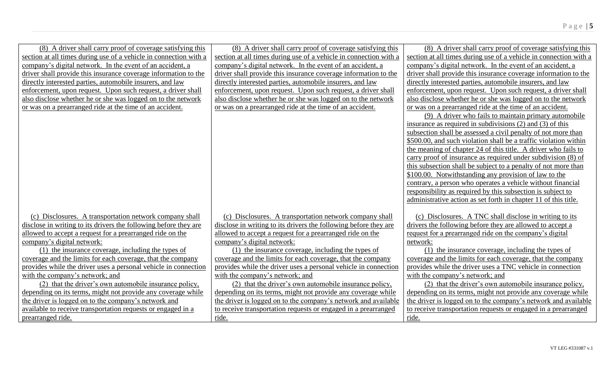| (8) A driver shall carry proof of coverage satisfying this        | (8) A driver shall carry proof of coverage satisfying this        | (8) A driver shall carry proof of coverage satisfying this        |
|-------------------------------------------------------------------|-------------------------------------------------------------------|-------------------------------------------------------------------|
| section at all times during use of a vehicle in connection with a | section at all times during use of a vehicle in connection with a | section at all times during use of a vehicle in connection with a |
| company's digital network. In the event of an accident, a         | company's digital network. In the event of an accident, a         | company's digital network. In the event of an accident, a         |
| driver shall provide this insurance coverage information to the   | driver shall provide this insurance coverage information to the   | driver shall provide this insurance coverage information to the   |
| directly interested parties, automobile insurers, and law         | directly interested parties, automobile insurers, and law         | directly interested parties, automobile insurers, and law         |
| enforcement, upon request. Upon such request, a driver shall      | enforcement, upon request. Upon such request, a driver shall      | enforcement, upon request. Upon such request, a driver shall      |
| also disclose whether he or she was logged on to the network      | also disclose whether he or she was logged on to the network      | also disclose whether he or she was logged on to the network      |
| or was on a prearranged ride at the time of an accident.          | or was on a prearranged ride at the time of an accident.          | or was on a prearranged ride at the time of an accident.          |
|                                                                   |                                                                   | (9) A driver who fails to maintain primary automobile             |
|                                                                   |                                                                   | insurance as required in subdivisions $(2)$ and $(3)$ of this     |
|                                                                   |                                                                   | subsection shall be assessed a civil penalty of not more than     |
|                                                                   |                                                                   | \$500.00, and such violation shall be a traffic violation within  |
|                                                                   |                                                                   | the meaning of chapter 24 of this title. A driver who fails to    |
|                                                                   |                                                                   | carry proof of insurance as required under subdivision (8) of     |
|                                                                   |                                                                   | this subsection shall be subject to a penalty of not more than    |
|                                                                   |                                                                   | \$100.00. Notwithstanding any provision of law to the             |
|                                                                   |                                                                   | contrary, a person who operates a vehicle without financial       |
|                                                                   |                                                                   | responsibility as required by this subsection is subject to       |
|                                                                   |                                                                   | administrative action as set forth in chapter 11 of this title.   |
|                                                                   |                                                                   |                                                                   |
| (c) Disclosures. A transportation network company shall           | (c) Disclosures. A transportation network company shall           | (c) Disclosures. A TNC shall disclose in writing to its           |
| disclose in writing to its drivers the following before they are  | disclose in writing to its drivers the following before they are  | drivers the following before they are allowed to accept a         |
| allowed to accept a request for a prearranged ride on the         | allowed to accept a request for a prearranged ride on the         | request for a prearranged ride on the company's digital           |
| company's digital network:                                        | company's digital network:                                        | network:                                                          |
| (1) the insurance coverage, including the types of                | (1) the insurance coverage, including the types of                | (1) the insurance coverage, including the types of                |
| coverage and the limits for each coverage, that the company       | coverage and the limits for each coverage, that the company       | coverage and the limits for each coverage, that the company       |
| provides while the driver uses a personal vehicle in connection   | provides while the driver uses a personal vehicle in connection   | provides while the driver uses a TNC vehicle in connection        |
| with the company's network; and                                   | with the company's network; and                                   | with the company's network; and                                   |
| (2) that the driver's own automobile insurance policy,            | (2) that the driver's own automobile insurance policy,            | (2) that the driver's own automobile insurance policy,            |
| depending on its terms, might not provide any coverage while      | depending on its terms, might not provide any coverage while      | depending on its terms, might not provide any coverage while      |
| the driver is logged on to the company's network and              | the driver is logged on to the company's network and available    | the driver is logged on to the company's network and available    |
| available to receive transportation requests or engaged in a      | to receive transportation requests or engaged in a prearranged    | to receive transportation requests or engaged in a prearranged    |
| prearranged ride.                                                 | ride.                                                             | ride.                                                             |
|                                                                   |                                                                   |                                                                   |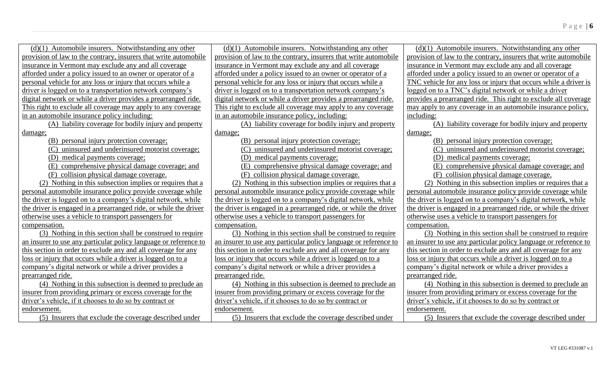| $(d)(1)$ Automobile insurers. Notwithstanding any other          | $(d)(1)$ Automobile insurers. Notwithstanding any other          | $(d)(1)$ Automobile insurers. Notwithstanding any other          |
|------------------------------------------------------------------|------------------------------------------------------------------|------------------------------------------------------------------|
| provision of law to the contrary, insurers that write automobile | provision of law to the contrary, insurers that write automobile | provision of law to the contrary, insurers that write automobile |
| insurance in Vermont may exclude any and all coverage            | insurance in Vermont may exclude any and all coverage            | insurance in Vermont may exclude any and all coverage            |
| afforded under a policy issued to an owner or operator of a      | afforded under a policy issued to an owner or operator of a      | afforded under a policy issued to an owner or operator of a      |
| personal vehicle for any loss or injury that occurs while a      | personal vehicle for any loss or injury that occurs while a      | TNC vehicle for any loss or injury that occurs while a driver is |
| driver is logged on to a transportation network company's        | driver is logged on to a transportation network company's        | logged on to a TNC's digital network or while a driver           |
| digital network or while a driver provides a prearranged ride.   | digital network or while a driver provides a prearranged ride.   | provides a prearranged ride. This right to exclude all coverage  |
| This right to exclude all coverage may apply to any coverage     | This right to exclude all coverage may apply to any coverage     | may apply to any coverage in an automobile insurance policy,     |
| in an automobile insurance policy including:                     | in an automobile insurance policy, including:                    | including:                                                       |
| (A) liability coverage for bodily injury and property            | (A) liability coverage for bodily injury and property            | (A) liability coverage for bodily injury and property            |
| damage;                                                          | damage;                                                          | damage;                                                          |
| (B) personal injury protection coverage;                         | (B) personal injury protection coverage;                         | (B) personal injury protection coverage;                         |
| (C) uninsured and underinsured motorist coverage;                | (C) uninsured and underinsured motorist coverage;                | (C) uninsured and underinsured motorist coverage;                |
| (D) medical payments coverage;                                   | (D) medical payments coverage;                                   | (D) medical payments coverage;                                   |
| (E) comprehensive physical damage coverage; and                  | (E) comprehensive physical damage coverage; and                  | (E) comprehensive physical damage coverage; and                  |
| (F) collision physical damage coverage.                          | (F) collision physical damage coverage.                          | (F) collision physical damage coverage.                          |
| (2) Nothing in this subsection implies or requires that a        | (2) Nothing in this subsection implies or requires that a        | (2) Nothing in this subsection implies or requires that a        |
| personal automobile insurance policy provide coverage while      | personal automobile insurance policy provide coverage while      | personal automobile insurance policy provide coverage while      |
| the driver is logged on to a company's digital network, while    | the driver is logged on to a company's digital network, while    | the driver is logged on to a company's digital network, while    |
| the driver is engaged in a prearranged ride, or while the driver | the driver is engaged in a prearranged ride, or while the driver | the driver is engaged in a prearranged ride, or while the driver |
| otherwise uses a vehicle to transport passengers for             | otherwise uses a vehicle to transport passengers for             | otherwise uses a vehicle to transport passengers for             |
| compensation.                                                    | compensation.                                                    | compensation.                                                    |
| (3) Nothing in this section shall be construed to require        | (3) Nothing in this section shall be construed to require        | (3) Nothing in this section shall be construed to require        |
| an insurer to use any particular policy language or reference to | an insurer to use any particular policy language or reference to | an insurer to use any particular policy language or reference to |
| this section in order to exclude any and all coverage for any    | this section in order to exclude any and all coverage for any    | this section in order to exclude any and all coverage for any    |
| loss or injury that occurs while a driver is logged on to a      | loss or injury that occurs while a driver is logged on to a      | loss or injury that occurs while a driver is logged on to a      |
| company's digital network or while a driver provides a           | company's digital network or while a driver provides a           | company's digital network or while a driver provides a           |
| prearranged ride.                                                | prearranged ride.                                                | prearranged ride.                                                |
| (4) Nothing in this subsection is deemed to preclude an          | (4) Nothing in this subsection is deemed to preclude an          | (4) Nothing in this subsection is deemed to preclude an          |
| insurer from providing primary or excess coverage for the        | insurer from providing primary or excess coverage for the        | insurer from providing primary or excess coverage for the        |
| driver's vehicle, if it chooses to do so by contract or          | driver's vehicle, if it chooses to do so by contract or          | driver's vehicle, if it chooses to do so by contract or          |
| endorsement.                                                     | endorsement.                                                     | endorsement.                                                     |
| (5) Insurers that exclude the coverage described under           | (5) Insurers that exclude the coverage described under           | (5) Insurers that exclude the coverage described under           |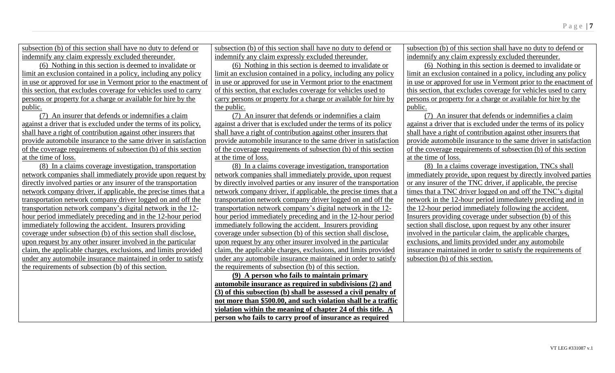subsection (b) of this section shall have no duty to defend or indemnify any claim expressly excluded thereunder.

(6) Nothing in this section is deemed to invalidate or limit an exclusion contained in a policy, including any policy in use or approved for use in Vermont prior to the enactment of this section, that excludes coverage for vehicles used to carry persons or property for a charge or available for hire by the public.

(7) An insurer that defends or indemnifies a claim against a driver that is excluded under the terms of its policy, shall have a right of contribution against other insurers that provide automobile insurance to the same driver in satisfaction of the coverage requirements of subsection (b) of this section at the time of loss.

(8) In a claims coverage investigation, transportation network companies shall immediately provide upon request by directly involved parties or any insurer of the transportation network company driver, if applicable, the precise times that a transportation network company driver logged on and off the transportation network company's digital network in the 12 hour period immediately preceding and in the 12-hour period immediately following the accident. Insurers providing coverage under subsection (b) of this section shall disclose, upon request by any other insurer involved in the particular claim, the applicable charges, exclusions, and limits provided under any automobile insurance maintained in order to satisfy the requirements of subsection (b) of this section.

subsection (b) of this section shall have no duty to defend or indemnify any claim expressly excluded thereunder.

(6) Nothing in this section is deemed to invalidate or limit an exclusion contained in a policy, including any policy in use or approved for use in Vermont prior to the enactment of this section, that excludes coverage for vehicles used to carry persons or property for a charge or available for hire by the public.

(7) An insurer that defends or indemnifies a claim against a driver that is excluded under the terms of its policy shall have a right of contribution against other insurers that provide automobile insurance to the same driver in satisfaction of the coverage requirements of subsection (b) of this section at the time of loss.

(8) In a claims coverage investigation, transportation network companies shall immediately provide, upon request by directly involved parties or any insurer of the transportation network company driver, if applicable, the precise times that a transportation network company driver logged on and off the transportation network company's digital network in the 12 hour period immediately preceding and in the 12-hour period immediately following the accident. Insurers providing coverage under subsection (b) of this section shall disclose, upon request by any other insurer involved in the particular claim, the applicable charges, exclusions, and limits provided under any automobile insurance maintained in order to satisfy the requirements of subsection (b) of this section.

**(9) A person who fails to maintain primary automobile insurance as required in subdivisions (2) and (3) of this subsection (b) shall be assessed a civil penalty of not more than \$500.00, and such violation shall be a traffic violation within the meaning of chapter 24 of this title. A person who fails to carry proof of insurance as required** 

subsection (b) of this section shall have no duty to defend or indemnify any claim expressly excluded thereunder.

(6) Nothing in this section is deemed to invalidate or limit an exclusion contained in a policy, including any policy in use or approved for use in Vermont prior to the enactment of this section, that excludes coverage for vehicles used to carry persons or property for a charge or available for hire by the public.

(7) An insurer that defends or indemnifies a claim against a driver that is excluded under the terms of its policy shall have a right of contribution against other insurers that provide automobile insurance to the same driver in satisfaction of the coverage requirements of subsection (b) of this section at the time of loss.

(8) In a claims coverage investigation, TNCs shall immediately provide, upon request by directly involved parties or any insurer of the TNC driver, if applicable, the precise times that a TNC driver logged on and off the TNC's digital network in the 12-hour period immediately preceding and in the 12-hour period immediately following the accident. Insurers providing coverage under subsection (b) of this section shall disclose, upon request by any other insurer involved in the particular claim, the applicable charges, exclusions, and limits provided under any automobile insurance maintained in order to satisfy the requirements of subsection (b) of this section.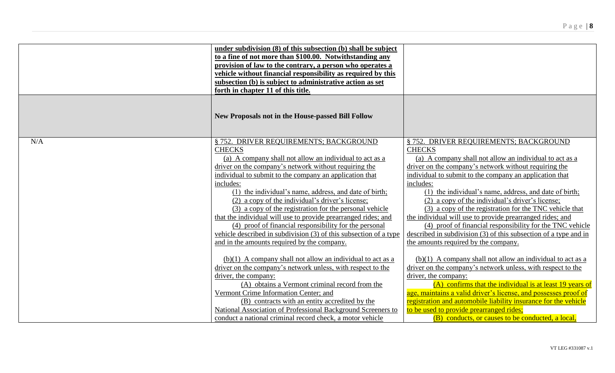|     | under subdivision (8) of this subsection (b) shall be subject<br>to a fine of not more than \$100.00. Notwithstanding any<br>provision of law to the contrary, a person who operates a<br>vehicle without financial responsibility as required by this<br>subsection (b) is subject to administrative action as set<br>forth in chapter 11 of this title.                                                                                                                                                                                                                                                                                                                    |                                                                                                                                                                                                                                                                                                                                                                                                                                                                                                                                                                                                                                                                    |
|-----|------------------------------------------------------------------------------------------------------------------------------------------------------------------------------------------------------------------------------------------------------------------------------------------------------------------------------------------------------------------------------------------------------------------------------------------------------------------------------------------------------------------------------------------------------------------------------------------------------------------------------------------------------------------------------|--------------------------------------------------------------------------------------------------------------------------------------------------------------------------------------------------------------------------------------------------------------------------------------------------------------------------------------------------------------------------------------------------------------------------------------------------------------------------------------------------------------------------------------------------------------------------------------------------------------------------------------------------------------------|
|     | <b>New Proposals not in the House-passed Bill Follow</b>                                                                                                                                                                                                                                                                                                                                                                                                                                                                                                                                                                                                                     |                                                                                                                                                                                                                                                                                                                                                                                                                                                                                                                                                                                                                                                                    |
| N/A | § 752. DRIVER REQUIREMENTS; BACKGROUND<br><b>CHECKS</b><br>(a) A company shall not allow an individual to act as a<br>driver on the company's network without requiring the<br>individual to submit to the company an application that<br>includes:<br>(1) the individual's name, address, and date of birth;<br>(2) a copy of the individual's driver's license;<br>(3) a copy of the registration for the personal vehicle<br>that the individual will use to provide prearranged rides; and<br>(4) proof of financial responsibility for the personal<br>vehicle described in subdivision (3) of this subsection of a type<br>and in the amounts required by the company. | § 752. DRIVER REQUIREMENTS; BACKGROUND<br><b>CHECKS</b><br>(a) A company shall not allow an individual to act as a<br>driver on the company's network without requiring the<br>individual to submit to the company an application that<br>includes:<br>(1) the individual's name, address, and date of birth;<br>(2) a copy of the individual's driver's license;<br>(3) a copy of the registration for the TNC vehicle that<br>the individual will use to provide prearranged rides; and<br>(4) proof of financial responsibility for the TNC vehicle<br>described in subdivision (3) of this subsection of a type and in<br>the amounts required by the company. |
|     | $(b)(1)$ A company shall not allow an individual to act as a<br>driver on the company's network unless, with respect to the<br>driver, the company:<br>(A) obtains a Vermont criminal record from the<br>Vermont Crime Information Center; and<br>(B) contracts with an entity accredited by the<br>National Association of Professional Background Screeners to<br>conduct a national criminal record check, a motor vehicle                                                                                                                                                                                                                                                | $(b)(1)$ A company shall not allow an individual to act as a<br>driver on the company's network unless, with respect to the<br>driver, the company:<br>(A) confirms that the individual is at least 19 years of<br>age, maintains a valid driver's license, and possesses proof of<br>registration and automobile liability insurance for the vehicle<br>to be used to provide prearranged rides;<br>(B) conducts, or causes to be conducted, a local,                                                                                                                                                                                                             |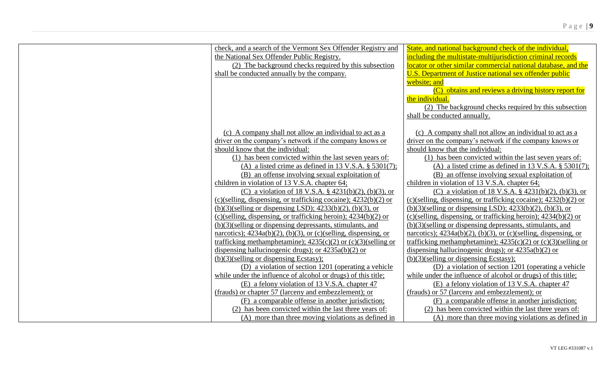| check, and a search of the Vermont Sex Offender Registry and              | State, and national background check of the individual.                   |
|---------------------------------------------------------------------------|---------------------------------------------------------------------------|
| the National Sex Offender Public Registry.                                | including the multistate-multijurisdiction criminal records               |
| (2) The background checks required by this subsection                     | locator or other similar commercial national database, and the            |
| shall be conducted annually by the company.                               | U.S. Department of Justice national sex offender public                   |
|                                                                           | website; and                                                              |
|                                                                           | (C) obtains and reviews a driving history report for                      |
|                                                                           | the individual.                                                           |
|                                                                           | (2) The background checks required by this subsection                     |
|                                                                           | shall be conducted annually.                                              |
|                                                                           |                                                                           |
| (c) A company shall not allow an individual to act as a                   | (c) A company shall not allow an individual to act as a                   |
| driver on the company's network if the company knows or                   | driver on the company's network if the company knows or                   |
| should know that the individual:                                          | should know that the individual:                                          |
| (1) has been convicted within the last seven years of:                    | (1) has been convicted within the last seven years of:                    |
| (A) a listed crime as defined in 13 V.S.A. $\S$ 5301(7);                  | (A) a listed crime as defined in 13 V.S.A. $\S$ 5301(7);                  |
| (B) an offense involving sexual exploitation of                           | (B) an offense involving sexual exploitation of                           |
| children in violation of 13 V.S.A. chapter 64;                            | children in violation of 13 V.S.A. chapter 64;                            |
| (C) a violation of 18 V.S.A. § 4231(b)(2), (b)(3), or                     | (C) a violation of 18 V.S.A. § 4231(b)(2), (b)(3), or                     |
| $(c)(\text{ selling, dispensing, or trafficking cocaine)}; 4232(b)(2)$ or | $(c)(\text{ selling, dispensing, or trafficking cocaine)}; 4232(b)(2)$ or |
| $(b)(3)$ (selling or dispensing LSD); 4233(b)(2), (b)(3), or              | $(b)(3)$ (selling or dispensing LSD); 4233(b)(2), (b)(3), or              |
| (c)(selling, dispensing, or trafficking heroin); $4234(b)(2)$ or          | $(c)(\text{selling, dispensing, or trafficking heroin)}; 4234(b)(2)$ or   |
| $(b)(3)$ (selling or dispensing depressants, stimulants, and              | $(b)(3)$ (selling or dispensing depressants, stimulants, and              |
| narcotics); $4234a(b)(2)$ , (b)(3), or (c)(selling, dispensing, or        | narcotics); $4234a(b)(2)$ , (b)(3), or (c)(selling, dispensing, or        |
| trafficking methamphetamine); $4235(c)(2)$ or $(c)(3)($ selling or        | trafficking methamphetamine); $4235(c)(2)$ or $(c)(3)($ selling or        |
| dispensing hallucinogenic drugs); or $4235a(b)(2)$ or                     | dispensing hallucinogenic drugs); or $4235a(b)(2)$ or                     |
| $(b)(3)$ (selling or dispensing Ecstasy);                                 | $(b)(3)$ (selling or dispensing Ecstasy);                                 |
| (D) a violation of section 1201 (operating a vehicle                      | (D) a violation of section 1201 (operating a vehicle                      |
| while under the influence of alcohol or drugs) of this title;             | while under the influence of alcohol or drugs) of this title;             |
| (E) a felony violation of 13 V.S.A. chapter 47                            | (E) a felony violation of 13 V.S.A. chapter 47                            |
| (frauds) or chapter 57 (larceny and embezzlement); or                     | (frauds) or 57 (larceny and embezzlement); or                             |
| (F) a comparable offense in another jurisdiction;                         | (F) a comparable offense in another jurisdiction;                         |
| (2) has been convicted within the last three years of:                    | (2) has been convicted within the last three years of:                    |
| (A) more than three moving violations as defined in                       | (A) more than three moving violations as defined in                       |
|                                                                           |                                                                           |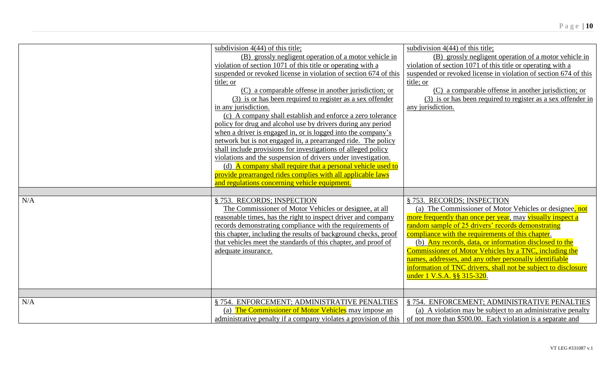|     | subdivision $4(44)$ of this title;                               | subdivision $4(44)$ of this title;                               |
|-----|------------------------------------------------------------------|------------------------------------------------------------------|
|     | (B) grossly negligent operation of a motor vehicle in            | (B) grossly negligent operation of a motor vehicle in            |
|     | violation of section 1071 of this title or operating with a      | violation of section 1071 of this title or operating with a      |
|     | suspended or revoked license in violation of section 674 of this | suspended or revoked license in violation of section 674 of this |
|     | title; or                                                        | title; or                                                        |
|     | (C) a comparable offense in another jurisdiction; or             | (C) a comparable offense in another jurisdiction; or             |
|     | (3) is or has been required to register as a sex offender        | (3) is or has been required to register as a sex offender in     |
|     | in any jurisdiction.                                             | any jurisdiction.                                                |
|     | (c) A company shall establish and enforce a zero tolerance       |                                                                  |
|     | policy for drug and alcohol use by drivers during any period     |                                                                  |
|     | when a driver is engaged in, or is logged into the company's     |                                                                  |
|     | network but is not engaged in, a prearranged ride. The policy    |                                                                  |
|     | shall include provisions for investigations of alleged policy    |                                                                  |
|     | violations and the suspension of drivers under investigation.    |                                                                  |
|     | (d) A company shall require that a personal vehicle used to      |                                                                  |
|     | provide prearranged rides complies with all applicable laws      |                                                                  |
|     | and regulations concerning vehicle equipment.                    |                                                                  |
|     |                                                                  |                                                                  |
| N/A | § 753. RECORDS; INSPECTION                                       | § 753. RECORDS; INSPECTION                                       |
|     | The Commissioner of Motor Vehicles or designee, at all           | (a) The Commissioner of Motor Vehicles or designee, not          |
|     | reasonable times, has the right to inspect driver and company    | more frequently than once per year, may visually inspect a       |
|     | records demonstrating compliance with the requirements of        | random sample of 25 drivers' records demonstrating               |
|     | this chapter, including the results of background checks, proof  | compliance with the requirements of this chapter.                |
|     | that vehicles meet the standards of this chapter, and proof of   | (b) Any records, data, or information disclosed to the           |
|     | adequate insurance.                                              | Commissioner of Motor Vehicles by a TNC, including the           |
|     |                                                                  | names, addresses, and any other personally identifiable          |
|     |                                                                  | information of TNC drivers, shall not be subject to disclosure   |
|     |                                                                  | under 1 V.S.A. §§ 315-320.                                       |
|     |                                                                  |                                                                  |
|     |                                                                  |                                                                  |
| N/A | §754. ENFORCEMENT: ADMINISTRATIVE PENALTIES                      | § 754. ENFORCEMENT; ADMINISTRATIVE PENALTIES                     |
|     | (a) The Commissioner of Motor Vehicles may impose an             | (a) A violation may be subject to an administrative penalty      |
|     | administrative penalty if a company violates a provision of this | of not more than \$500.00. Each violation is a separate and      |
|     |                                                                  |                                                                  |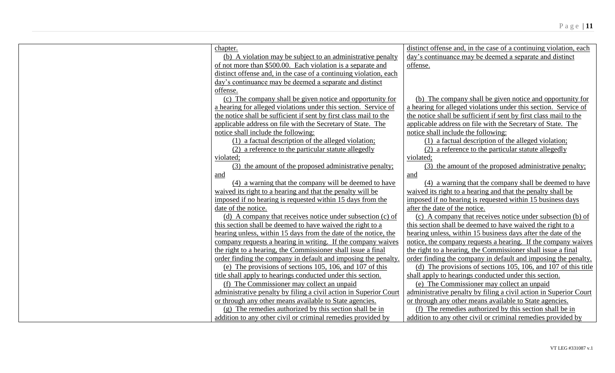| chapter.                                                          | distinct offense and, in the case of a continuing violation, each |
|-------------------------------------------------------------------|-------------------------------------------------------------------|
| (b) A violation may be subject to an administrative penalty       | day's continuance may be deemed a separate and distinct           |
| of not more than \$500.00. Each violation is a separate and       | offense.                                                          |
| distinct offense and, in the case of a continuing violation, each |                                                                   |
| day's continuance may be deemed a separate and distinct           |                                                                   |
| offense.                                                          |                                                                   |
| (c) The company shall be given notice and opportunity for         | (b) The company shall be given notice and opportunity for         |
| a hearing for alleged violations under this section. Service of   | a hearing for alleged violations under this section. Service of   |
| the notice shall be sufficient if sent by first class mail to the | the notice shall be sufficient if sent by first class mail to the |
| applicable address on file with the Secretary of State. The       | applicable address on file with the Secretary of State. The       |
| notice shall include the following:                               | notice shall include the following:                               |
| (1) a factual description of the alleged violation;               | (1) a factual description of the alleged violation;               |
| (2) a reference to the particular statute allegedly               | (2) a reference to the particular statute allegedly               |
| violated;                                                         | violated;                                                         |
| (3) the amount of the proposed administrative penalty;            | (3) the amount of the proposed administrative penalty;            |
| and                                                               | and                                                               |
| (4) a warning that the company will be deemed to have             | (4) a warning that the company shall be deemed to have            |
| waived its right to a hearing and that the penalty will be        | waived its right to a hearing and that the penalty shall be       |
| imposed if no hearing is requested within 15 days from the        | imposed if no hearing is requested within 15 business days        |
| date of the notice.                                               | after the date of the notice.                                     |
| (d) A company that receives notice under subsection (c) of        | (c) A company that receives notice under subsection (b) of        |
| this section shall be deemed to have waived the right to a        | this section shall be deemed to have waived the right to a        |
| hearing unless, within 15 days from the date of the notice, the   | hearing unless, within 15 business days after the date of the     |
| company requests a hearing in writing. If the company waives      | notice, the company requests a hearing. If the company waives     |
| the right to a hearing, the Commissioner shall issue a final      | the right to a hearing, the Commissioner shall issue a final      |
| order finding the company in default and imposing the penalty.    | order finding the company in default and imposing the penalty.    |
| (e) The provisions of sections 105, 106, and 107 of this          | (d) The provisions of sections 105, 106, and 107 of this title    |
| title shall apply to hearings conducted under this section.       | shall apply to hearings conducted under this section.             |
| (f) The Commissioner may collect an unpaid                        | (e) The Commissioner may collect an unpaid                        |
| administrative penalty by filing a civil action in Superior Court | administrative penalty by filing a civil action in Superior Court |
| or through any other means available to State agencies.           | or through any other means available to State agencies.           |
| $(g)$ The remedies authorized by this section shall be in         | (f) The remedies authorized by this section shall be in           |
| addition to any other civil or criminal remedies provided by      | addition to any other civil or criminal remedies provided by      |
|                                                                   |                                                                   |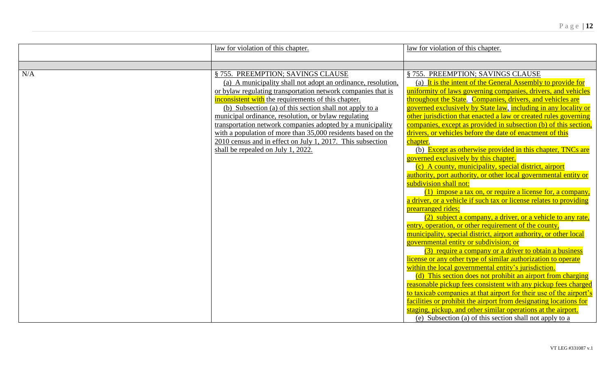|     | law for violation of this chapter.                                                                                                                                                                                                                                                                                                                                                                                                                                                                                                                                            | law for violation of this chapter.                                                                                                                                                                                                                                                                                                                                                                                                                                                                                                                                                                                                                                                                                                                                                                                                                                                                                                                                                                                                                                                                                                                                                                                                                                                                                                                                                                                                                                                                                                                                                                                                                                                                                                                                             |
|-----|-------------------------------------------------------------------------------------------------------------------------------------------------------------------------------------------------------------------------------------------------------------------------------------------------------------------------------------------------------------------------------------------------------------------------------------------------------------------------------------------------------------------------------------------------------------------------------|--------------------------------------------------------------------------------------------------------------------------------------------------------------------------------------------------------------------------------------------------------------------------------------------------------------------------------------------------------------------------------------------------------------------------------------------------------------------------------------------------------------------------------------------------------------------------------------------------------------------------------------------------------------------------------------------------------------------------------------------------------------------------------------------------------------------------------------------------------------------------------------------------------------------------------------------------------------------------------------------------------------------------------------------------------------------------------------------------------------------------------------------------------------------------------------------------------------------------------------------------------------------------------------------------------------------------------------------------------------------------------------------------------------------------------------------------------------------------------------------------------------------------------------------------------------------------------------------------------------------------------------------------------------------------------------------------------------------------------------------------------------------------------|
|     |                                                                                                                                                                                                                                                                                                                                                                                                                                                                                                                                                                               |                                                                                                                                                                                                                                                                                                                                                                                                                                                                                                                                                                                                                                                                                                                                                                                                                                                                                                                                                                                                                                                                                                                                                                                                                                                                                                                                                                                                                                                                                                                                                                                                                                                                                                                                                                                |
| N/A | § 755. PREEMPTION; SAVINGS CLAUSE<br>(a) A municipality shall not adopt an ordinance, resolution,<br>or bylaw regulating transportation network companies that is<br>inconsistent with the requirements of this chapter.<br>(b) Subsection (a) of this section shall not apply to a<br>municipal ordinance, resolution, or bylaw regulating<br>transportation network companies adopted by a municipality<br>with a population of more than 35,000 residents based on the<br>2010 census and in effect on July 1, 2017. This subsection<br>shall be repealed on July 1, 2022. | § 755. PREEMPTION; SAVINGS CLAUSE<br>(a) It is the intent of the General Assembly to provide for<br>uniformity of laws governing companies, drivers, and vehicles<br>throughout the State. Companies, drivers, and vehicles are<br>governed exclusively by State law, including in any locality or<br>other jurisdiction that enacted a law or created rules governing<br>companies, except as provided in subsection (b) of this section,<br>drivers, or vehicles before the date of enactment of this<br>chapter.<br>(b) Except as otherwise provided in this chapter, TNCs are<br>governed exclusively by this chapter.<br>(c) A county, municipality, special district, airport<br>authority, port authority, or other local governmental entity or<br>subdivision shall not:<br>$(1)$ impose a tax on, or require a license for, a company,<br>a driver, or a vehicle if such tax or license relates to providing<br>prearranged rides;<br>(2) subject a company, a driver, or a vehicle to any rate,<br>entry, operation, or other requirement of the county,<br>municipality, special district, airport authority, or other local<br>governmental entity or subdivision; or<br>(3) require a company or a driver to obtain a business<br>license or any other type of similar authorization to operate<br>within the local governmental entity's jurisdiction.<br>(d) This section does not prohibit an airport from charging<br>reasonable pickup fees consistent with any pickup fees charged<br>to taxicab companies at that airport for their use of the airport's<br>facilities or prohibit the airport from designating locations for<br>staging, pickup, and other similar operations at the airport.<br>(e) Subsection (a) of this section shall not apply to a |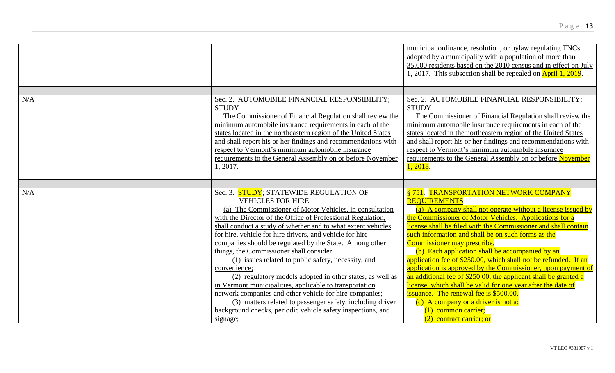|                                                                                                                                                                                                                                                                                                                                                                                                                                                                                                                                                                                                                                                                                                                                                                                                                       | municipal ordinance, resolution, or bylaw regulating TNCs<br>adopted by a municipality with a population of more than<br>35,000 residents based on the 2010 census and in effect on July<br>1, 2017. This subsection shall be repealed on April 1, 2019.                                                                                                                                                                                                                                                                                                                                                                                                                                                                                                                                                   |
|-----------------------------------------------------------------------------------------------------------------------------------------------------------------------------------------------------------------------------------------------------------------------------------------------------------------------------------------------------------------------------------------------------------------------------------------------------------------------------------------------------------------------------------------------------------------------------------------------------------------------------------------------------------------------------------------------------------------------------------------------------------------------------------------------------------------------|------------------------------------------------------------------------------------------------------------------------------------------------------------------------------------------------------------------------------------------------------------------------------------------------------------------------------------------------------------------------------------------------------------------------------------------------------------------------------------------------------------------------------------------------------------------------------------------------------------------------------------------------------------------------------------------------------------------------------------------------------------------------------------------------------------|
|                                                                                                                                                                                                                                                                                                                                                                                                                                                                                                                                                                                                                                                                                                                                                                                                                       |                                                                                                                                                                                                                                                                                                                                                                                                                                                                                                                                                                                                                                                                                                                                                                                                            |
| Sec. 2. AUTOMOBILE FINANCIAL RESPONSIBILITY;<br><b>STUDY</b><br>The Commissioner of Financial Regulation shall review the<br>minimum automobile insurance requirements in each of the<br>states located in the northeastern region of the United States<br>and shall report his or her findings and recommendations with<br>respect to Vermont's minimum automobile insurance<br>requirements to the General Assembly on or before November<br>1, 2017.                                                                                                                                                                                                                                                                                                                                                               | Sec. 2. AUTOMOBILE FINANCIAL RESPONSIBILITY;<br><b>STUDY</b><br>The Commissioner of Financial Regulation shall review the<br>minimum automobile insurance requirements in each of the<br>states located in the northeastern region of the United States<br>and shall report his or her findings and recommendations with<br>respect to Vermont's minimum automobile insurance<br>requirements to the General Assembly on or before November<br>1,2018.                                                                                                                                                                                                                                                                                                                                                     |
|                                                                                                                                                                                                                                                                                                                                                                                                                                                                                                                                                                                                                                                                                                                                                                                                                       |                                                                                                                                                                                                                                                                                                                                                                                                                                                                                                                                                                                                                                                                                                                                                                                                            |
| Sec. 3. STUDY; STATEWIDE REGULATION OF<br><b>VEHICLES FOR HIRE</b><br>(a) The Commissioner of Motor Vehicles, in consultation<br>with the Director of the Office of Professional Regulation,<br>shall conduct a study of whether and to what extent vehicles<br>for hire, vehicle for hire drivers, and vehicle for hire<br>companies should be regulated by the State. Among other<br>things, the Commissioner shall consider:<br>(1) issues related to public safety, necessity, and<br>convenience;<br>(2) regulatory models adopted in other states, as well as<br>in Vermont municipalities, applicable to transportation<br>network companies and other vehicle for hire companies;<br>(3) matters related to passenger safety, including driver<br>background checks, periodic vehicle safety inspections, and | §751. TRANSPORTATION NETWORK COMPANY<br><b>REQUIREMENTS</b><br>(a) A company shall not operate without a license issued by<br>the Commissioner of Motor Vehicles. Applications for a<br>license shall be filed with the Commissioner and shall contain<br>such information and shall be on such forms as the<br>Commissioner may prescribe.<br>(b) Each application shall be accompanied by an<br>application fee of \$250.00, which shall not be refunded. If an<br>application is approved by the Commissioner, upon payment of<br>an additional fee of \$250.00, the applicant shall be granted a<br>license, which shall be valid for one year after the date of<br>issuance. The renewal fee is \$500.00.<br>(c) A company or a driver is not a:<br>$(1)$ common carrier;<br>(2) contract carrier; or |
|                                                                                                                                                                                                                                                                                                                                                                                                                                                                                                                                                                                                                                                                                                                                                                                                                       | signage;                                                                                                                                                                                                                                                                                                                                                                                                                                                                                                                                                                                                                                                                                                                                                                                                   |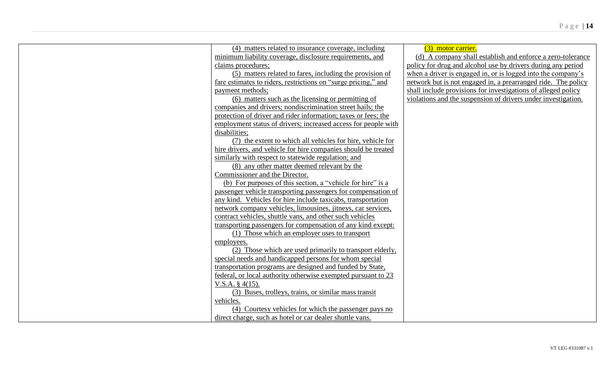| (4) matters related to insurance coverage, including           | (3) motor carrier.                                            |
|----------------------------------------------------------------|---------------------------------------------------------------|
| minimum liability coverage, disclosure requirements, and       | (d) A company shall establish and enforce a zero-tolerance    |
| claims procedures;                                             | policy for drug and alcohol use by drivers during any period  |
| (5) matters related to fares, including the provision of       | when a driver is engaged in, or is logged into the company's  |
| fare estimates to riders, restrictions on "surge pricing," and | network but is not engaged in, a prearranged ride. The policy |
| payment methods:                                               | shall include provisions for investigations of alleged policy |
| (6) matters such as the licensing or permitting of             | violations and the suspension of drivers under investigation. |
| companies and drivers; nondiscrimination street hails; the     |                                                               |
| protection of driver and rider information; taxes or fees; the |                                                               |
| employment status of drivers; increased access for people with |                                                               |
| disabilities;                                                  |                                                               |
| (7) the extent to which all vehicles for hire, vehicle for     |                                                               |
| hire drivers, and vehicle for hire companies should be treated |                                                               |
| similarly with respect to statewide regulation; and            |                                                               |
| (8) any other matter deemed relevant by the                    |                                                               |
| Commissioner and the Director.                                 |                                                               |
| (b) For purposes of this section, a "vehicle for hire" is a    |                                                               |
| passenger vehicle transporting passengers for compensation of  |                                                               |
| any kind. Vehicles for hire include taxicabs, transportation   |                                                               |
| network company vehicles, limousines, jitneys, car services,   |                                                               |
| contract vehicles, shuttle vans, and other such vehicles       |                                                               |
| transporting passengers for compensation of any kind except:   |                                                               |
| (1) Those which an employer uses to transport                  |                                                               |
| employees.                                                     |                                                               |
| (2) Those which are used primarily to transport elderly,       |                                                               |
| special needs and handicapped persons for whom special         |                                                               |
| transportation programs are designed and funded by State,      |                                                               |
| federal, or local authority otherwise exempted pursuant to 23  |                                                               |
| V.S.A. $§$ 4(15).                                              |                                                               |
| (3) Buses, trolleys, trains, or similar mass transit           |                                                               |
| vehicles.                                                      |                                                               |
| (4) Courtesy vehicles for which the passenger pays no          |                                                               |
| direct charge, such as hotel or car dealer shuttle vans.       |                                                               |
|                                                                |                                                               |